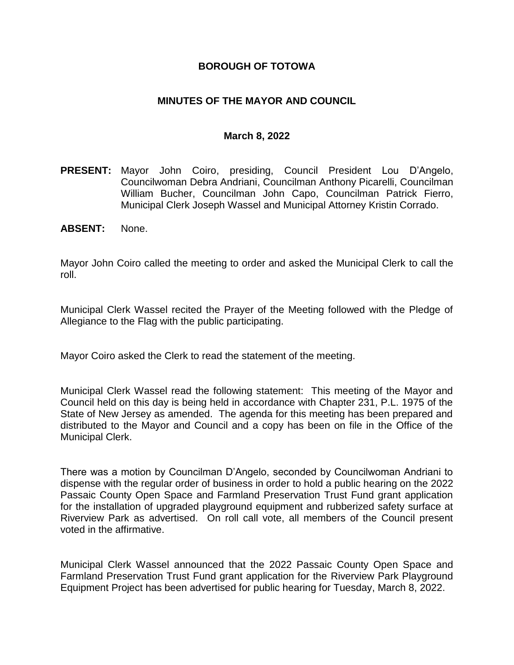## **BOROUGH OF TOTOWA**

## **MINUTES OF THE MAYOR AND COUNCIL**

#### **March 8, 2022**

- **PRESENT:** Mayor John Coiro, presiding, Council President Lou D'Angelo, Councilwoman Debra Andriani, Councilman Anthony Picarelli, Councilman William Bucher, Councilman John Capo, Councilman Patrick Fierro, Municipal Clerk Joseph Wassel and Municipal Attorney Kristin Corrado.
- **ABSENT:** None.

Mayor John Coiro called the meeting to order and asked the Municipal Clerk to call the roll.

Municipal Clerk Wassel recited the Prayer of the Meeting followed with the Pledge of Allegiance to the Flag with the public participating.

Mayor Coiro asked the Clerk to read the statement of the meeting.

Municipal Clerk Wassel read the following statement: This meeting of the Mayor and Council held on this day is being held in accordance with Chapter 231, P.L. 1975 of the State of New Jersey as amended. The agenda for this meeting has been prepared and distributed to the Mayor and Council and a copy has been on file in the Office of the Municipal Clerk.

There was a motion by Councilman D'Angelo, seconded by Councilwoman Andriani to dispense with the regular order of business in order to hold a public hearing on the 2022 Passaic County Open Space and Farmland Preservation Trust Fund grant application for the installation of upgraded playground equipment and rubberized safety surface at Riverview Park as advertised. On roll call vote, all members of the Council present voted in the affirmative.

Municipal Clerk Wassel announced that the 2022 Passaic County Open Space and Farmland Preservation Trust Fund grant application for the Riverview Park Playground Equipment Project has been advertised for public hearing for Tuesday, March 8, 2022.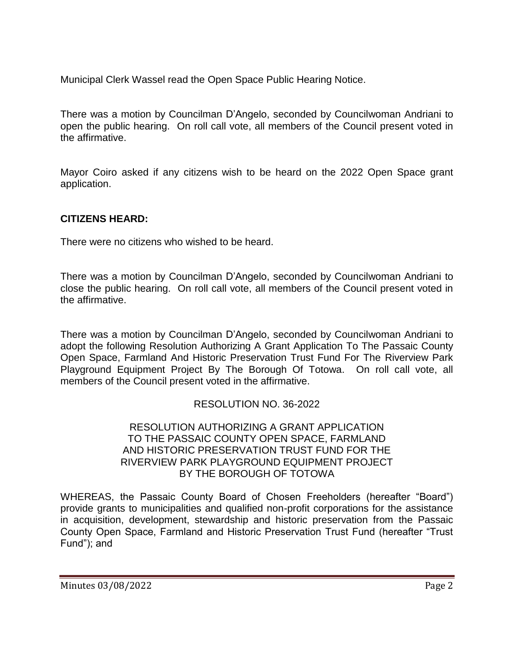Municipal Clerk Wassel read the Open Space Public Hearing Notice.

There was a motion by Councilman D'Angelo, seconded by Councilwoman Andriani to open the public hearing. On roll call vote, all members of the Council present voted in the affirmative.

Mayor Coiro asked if any citizens wish to be heard on the 2022 Open Space grant application.

# **CITIZENS HEARD:**

There were no citizens who wished to be heard.

There was a motion by Councilman D'Angelo, seconded by Councilwoman Andriani to close the public hearing. On roll call vote, all members of the Council present voted in the affirmative.

There was a motion by Councilman D'Angelo, seconded by Councilwoman Andriani to adopt the following Resolution Authorizing A Grant Application To The Passaic County Open Space, Farmland And Historic Preservation Trust Fund For The Riverview Park Playground Equipment Project By The Borough Of Totowa. On roll call vote, all members of the Council present voted in the affirmative.

## RESOLUTION NO. 36-2022

### RESOLUTION AUTHORIZING A GRANT APPLICATION TO THE PASSAIC COUNTY OPEN SPACE, FARMLAND AND HISTORIC PRESERVATION TRUST FUND FOR THE RIVERVIEW PARK PLAYGROUND EQUIPMENT PROJECT BY THE BOROUGH OF TOTOWA

WHEREAS, the Passaic County Board of Chosen Freeholders (hereafter "Board") provide grants to municipalities and qualified non-profit corporations for the assistance in acquisition, development, stewardship and historic preservation from the Passaic County Open Space, Farmland and Historic Preservation Trust Fund (hereafter "Trust Fund"); and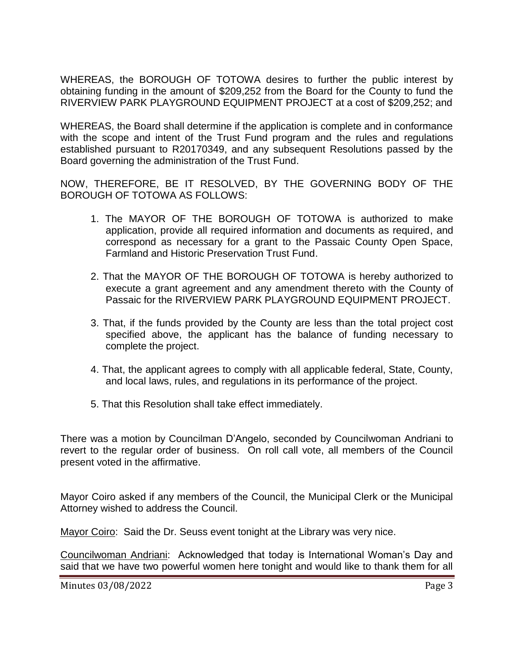WHEREAS, the BOROUGH OF TOTOWA desires to further the public interest by obtaining funding in the amount of \$209,252 from the Board for the County to fund the RIVERVIEW PARK PLAYGROUND EQUIPMENT PROJECT at a cost of \$209,252; and

WHEREAS, the Board shall determine if the application is complete and in conformance with the scope and intent of the Trust Fund program and the rules and regulations established pursuant to R20170349, and any subsequent Resolutions passed by the Board governing the administration of the Trust Fund.

NOW, THEREFORE, BE IT RESOLVED, BY THE GOVERNING BODY OF THE BOROUGH OF TOTOWA AS FOLLOWS:

- 1. The MAYOR OF THE BOROUGH OF TOTOWA is authorized to make application, provide all required information and documents as required, and correspond as necessary for a grant to the Passaic County Open Space, Farmland and Historic Preservation Trust Fund.
- 2. That the MAYOR OF THE BOROUGH OF TOTOWA is hereby authorized to execute a grant agreement and any amendment thereto with the County of Passaic for the RIVERVIEW PARK PLAYGROUND EQUIPMENT PROJECT.
- 3. That, if the funds provided by the County are less than the total project cost specified above, the applicant has the balance of funding necessary to complete the project.
- 4. That, the applicant agrees to comply with all applicable federal, State, County, and local laws, rules, and regulations in its performance of the project.
- 5. That this Resolution shall take effect immediately.

There was a motion by Councilman D'Angelo, seconded by Councilwoman Andriani to revert to the regular order of business. On roll call vote, all members of the Council present voted in the affirmative.

Mayor Coiro asked if any members of the Council, the Municipal Clerk or the Municipal Attorney wished to address the Council.

Mayor Coiro: Said the Dr. Seuss event tonight at the Library was very nice.

Councilwoman Andriani: Acknowledged that today is International Woman's Day and said that we have two powerful women here tonight and would like to thank them for all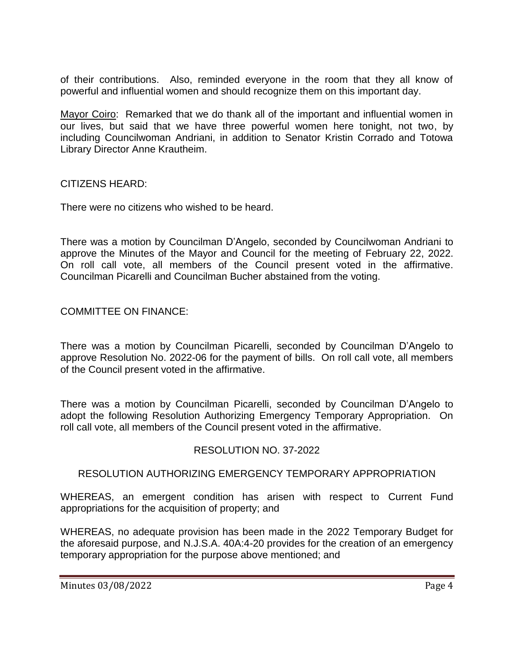of their contributions. Also, reminded everyone in the room that they all know of powerful and influential women and should recognize them on this important day.

Mayor Coiro: Remarked that we do thank all of the important and influential women in our lives, but said that we have three powerful women here tonight, not two, by including Councilwoman Andriani, in addition to Senator Kristin Corrado and Totowa Library Director Anne Krautheim.

### CITIZENS HEARD:

There were no citizens who wished to be heard.

There was a motion by Councilman D'Angelo, seconded by Councilwoman Andriani to approve the Minutes of the Mayor and Council for the meeting of February 22, 2022. On roll call vote, all members of the Council present voted in the affirmative. Councilman Picarelli and Councilman Bucher abstained from the voting.

## COMMITTEE ON FINANCE:

There was a motion by Councilman Picarelli, seconded by Councilman D'Angelo to approve Resolution No. 2022-06 for the payment of bills. On roll call vote, all members of the Council present voted in the affirmative.

There was a motion by Councilman Picarelli, seconded by Councilman D'Angelo to adopt the following Resolution Authorizing Emergency Temporary Appropriation. On roll call vote, all members of the Council present voted in the affirmative.

### RESOLUTION NO. 37-2022

### RESOLUTION AUTHORIZING EMERGENCY TEMPORARY APPROPRIATION

WHEREAS, an emergent condition has arisen with respect to Current Fund appropriations for the acquisition of property; and

WHEREAS, no adequate provision has been made in the 2022 Temporary Budget for the aforesaid purpose, and N.J.S.A. 40A:4-20 provides for the creation of an emergency temporary appropriation for the purpose above mentioned; and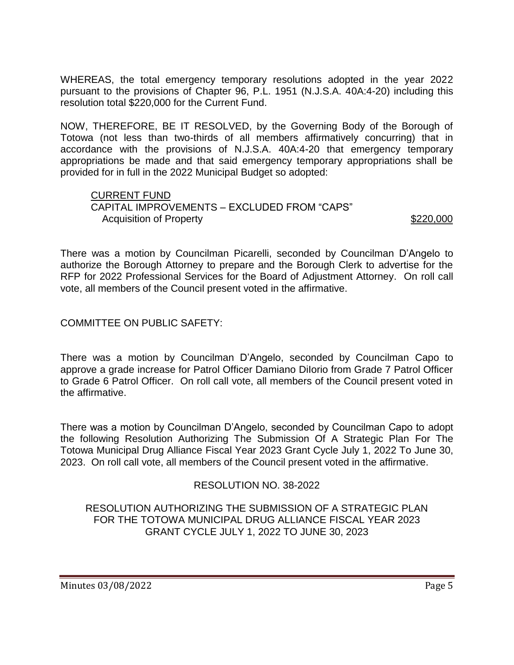WHEREAS, the total emergency temporary resolutions adopted in the year 2022 pursuant to the provisions of Chapter 96, P.L. 1951 (N.J.S.A. 40A:4-20) including this resolution total \$220,000 for the Current Fund.

NOW, THEREFORE, BE IT RESOLVED, by the Governing Body of the Borough of Totowa (not less than two-thirds of all members affirmatively concurring) that in accordance with the provisions of N.J.S.A. 40A:4-20 that emergency temporary appropriations be made and that said emergency temporary appropriations shall be provided for in full in the 2022 Municipal Budget so adopted:

#### CURRENT FUND CAPITAL IMPROVEMENTS – EXCLUDED FROM "CAPS" Acquisition of Property **\$220,000**

There was a motion by Councilman Picarelli, seconded by Councilman D'Angelo to authorize the Borough Attorney to prepare and the Borough Clerk to advertise for the RFP for 2022 Professional Services for the Board of Adjustment Attorney. On roll call vote, all members of the Council present voted in the affirmative.

## COMMITTEE ON PUBLIC SAFETY:

There was a motion by Councilman D'Angelo, seconded by Councilman Capo to approve a grade increase for Patrol Officer Damiano DiIorio from Grade 7 Patrol Officer to Grade 6 Patrol Officer. On roll call vote, all members of the Council present voted in the affirmative.

There was a motion by Councilman D'Angelo, seconded by Councilman Capo to adopt the following Resolution Authorizing The Submission Of A Strategic Plan For The Totowa Municipal Drug Alliance Fiscal Year 2023 Grant Cycle July 1, 2022 To June 30, 2023. On roll call vote, all members of the Council present voted in the affirmative.

## RESOLUTION NO. 38-2022

## RESOLUTION AUTHORIZING THE SUBMISSION OF A STRATEGIC PLAN FOR THE TOTOWA MUNICIPAL DRUG ALLIANCE FISCAL YEAR 2023 GRANT CYCLE JULY 1, 2022 TO JUNE 30, 2023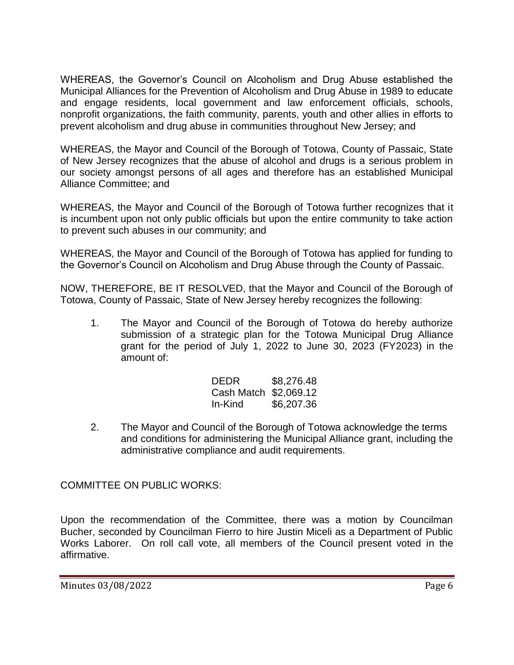WHEREAS, the Governor's Council on Alcoholism and Drug Abuse established the Municipal Alliances for the Prevention of Alcoholism and Drug Abuse in 1989 to educate and engage residents, local government and law enforcement officials, schools, nonprofit organizations, the faith community, parents, youth and other allies in efforts to prevent alcoholism and drug abuse in communities throughout New Jersey; and

WHEREAS, the Mayor and Council of the Borough of Totowa, County of Passaic, State of New Jersey recognizes that the abuse of alcohol and drugs is a serious problem in our society amongst persons of all ages and therefore has an established Municipal Alliance Committee; and

WHEREAS, the Mayor and Council of the Borough of Totowa further recognizes that it is incumbent upon not only public officials but upon the entire community to take action to prevent such abuses in our community; and

WHEREAS, the Mayor and Council of the Borough of Totowa has applied for funding to the Governor's Council on Alcoholism and Drug Abuse through the County of Passaic.

NOW, THEREFORE, BE IT RESOLVED, that the Mayor and Council of the Borough of Totowa, County of Passaic, State of New Jersey hereby recognizes the following:

1. The Mayor and Council of the Borough of Totowa do hereby authorize submission of a strategic plan for the Totowa Municipal Drug Alliance grant for the period of July 1, 2022 to June 30, 2023 (FY2023) in the amount of:

| <b>DEDR</b>           | \$8,276.48 |
|-----------------------|------------|
| Cash Match \$2,069.12 |            |
| In-Kind               | \$6,207.36 |

2. The Mayor and Council of the Borough of Totowa acknowledge the terms and conditions for administering the Municipal Alliance grant, including the administrative compliance and audit requirements.

COMMITTEE ON PUBLIC WORKS:

Upon the recommendation of the Committee, there was a motion by Councilman Bucher, seconded by Councilman Fierro to hire Justin Miceli as a Department of Public Works Laborer. On roll call vote, all members of the Council present voted in the affirmative.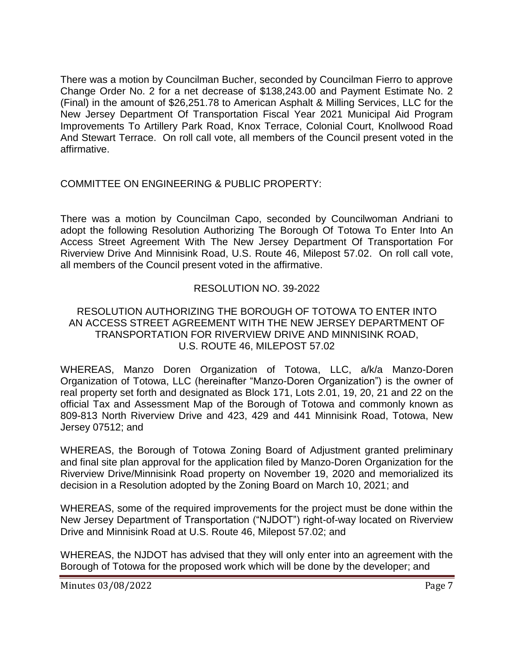There was a motion by Councilman Bucher, seconded by Councilman Fierro to approve Change Order No. 2 for a net decrease of \$138,243.00 and Payment Estimate No. 2 (Final) in the amount of \$26,251.78 to American Asphalt & Milling Services, LLC for the New Jersey Department Of Transportation Fiscal Year 2021 Municipal Aid Program Improvements To Artillery Park Road, Knox Terrace, Colonial Court, Knollwood Road And Stewart Terrace. On roll call vote, all members of the Council present voted in the affirmative.

## COMMITTEE ON ENGINEERING & PUBLIC PROPERTY:

There was a motion by Councilman Capo, seconded by Councilwoman Andriani to adopt the following Resolution Authorizing The Borough Of Totowa To Enter Into An Access Street Agreement With The New Jersey Department Of Transportation For Riverview Drive And Minnisink Road, U.S. Route 46, Milepost 57.02. On roll call vote, all members of the Council present voted in the affirmative.

## RESOLUTION NO. 39-2022

### RESOLUTION AUTHORIZING THE BOROUGH OF TOTOWA TO ENTER INTO AN ACCESS STREET AGREEMENT WITH THE NEW JERSEY DEPARTMENT OF TRANSPORTATION FOR RIVERVIEW DRIVE AND MINNISINK ROAD, U.S. ROUTE 46, MILEPOST 57.02

WHEREAS, Manzo Doren Organization of Totowa, LLC, a/k/a Manzo-Doren Organization of Totowa, LLC (hereinafter "Manzo-Doren Organization") is the owner of real property set forth and designated as Block 171, Lots 2.01, 19, 20, 21 and 22 on the official Tax and Assessment Map of the Borough of Totowa and commonly known as 809-813 North Riverview Drive and 423, 429 and 441 Minnisink Road, Totowa, New Jersey 07512; and

WHEREAS, the Borough of Totowa Zoning Board of Adjustment granted preliminary and final site plan approval for the application filed by Manzo-Doren Organization for the Riverview Drive/Minnisink Road property on November 19, 2020 and memorialized its decision in a Resolution adopted by the Zoning Board on March 10, 2021; and

WHEREAS, some of the required improvements for the project must be done within the New Jersey Department of Transportation ("NJDOT") right-of-way located on Riverview Drive and Minnisink Road at U.S. Route 46, Milepost 57.02; and

WHEREAS, the NJDOT has advised that they will only enter into an agreement with the Borough of Totowa for the proposed work which will be done by the developer; and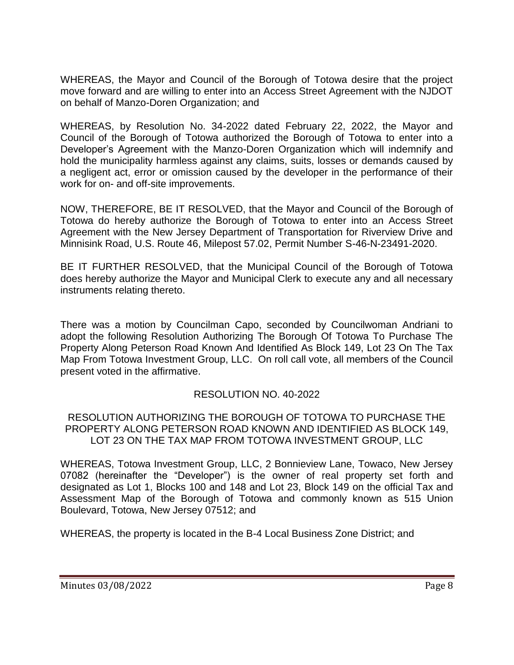WHEREAS, the Mayor and Council of the Borough of Totowa desire that the project move forward and are willing to enter into an Access Street Agreement with the NJDOT on behalf of Manzo-Doren Organization; and

WHEREAS, by Resolution No. 34-2022 dated February 22, 2022, the Mayor and Council of the Borough of Totowa authorized the Borough of Totowa to enter into a Developer's Agreement with the Manzo-Doren Organization which will indemnify and hold the municipality harmless against any claims, suits, losses or demands caused by a negligent act, error or omission caused by the developer in the performance of their work for on- and off-site improvements.

NOW, THEREFORE, BE IT RESOLVED, that the Mayor and Council of the Borough of Totowa do hereby authorize the Borough of Totowa to enter into an Access Street Agreement with the New Jersey Department of Transportation for Riverview Drive and Minnisink Road, U.S. Route 46, Milepost 57.02, Permit Number S-46-N-23491-2020.

BE IT FURTHER RESOLVED, that the Municipal Council of the Borough of Totowa does hereby authorize the Mayor and Municipal Clerk to execute any and all necessary instruments relating thereto.

There was a motion by Councilman Capo, seconded by Councilwoman Andriani to adopt the following Resolution Authorizing The Borough Of Totowa To Purchase The Property Along Peterson Road Known And Identified As Block 149, Lot 23 On The Tax Map From Totowa Investment Group, LLC. On roll call vote, all members of the Council present voted in the affirmative.

## RESOLUTION NO. 40-2022

### RESOLUTION AUTHORIZING THE BOROUGH OF TOTOWA TO PURCHASE THE PROPERTY ALONG PETERSON ROAD KNOWN AND IDENTIFIED AS BLOCK 149, LOT 23 ON THE TAX MAP FROM TOTOWA INVESTMENT GROUP, LLC

WHEREAS, Totowa Investment Group, LLC, 2 Bonnieview Lane, Towaco, New Jersey 07082 (hereinafter the "Developer") is the owner of real property set forth and designated as Lot 1, Blocks 100 and 148 and Lot 23, Block 149 on the official Tax and Assessment Map of the Borough of Totowa and commonly known as 515 Union Boulevard, Totowa, New Jersey 07512; and

WHEREAS, the property is located in the B-4 Local Business Zone District; and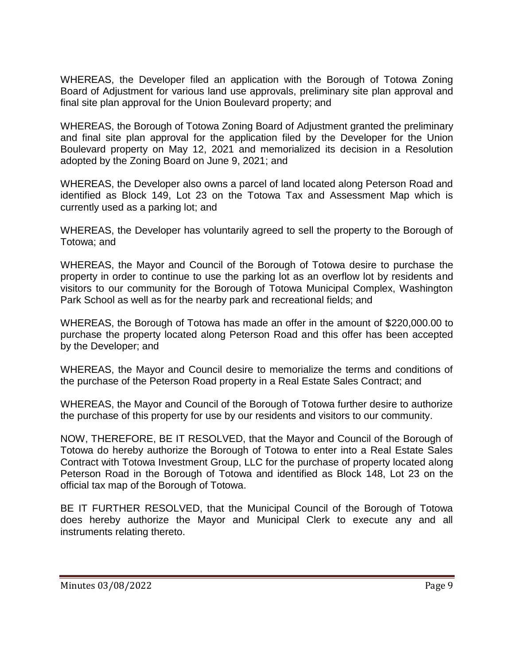WHEREAS, the Developer filed an application with the Borough of Totowa Zoning Board of Adjustment for various land use approvals, preliminary site plan approval and final site plan approval for the Union Boulevard property; and

WHEREAS, the Borough of Totowa Zoning Board of Adjustment granted the preliminary and final site plan approval for the application filed by the Developer for the Union Boulevard property on May 12, 2021 and memorialized its decision in a Resolution adopted by the Zoning Board on June 9, 2021; and

WHEREAS, the Developer also owns a parcel of land located along Peterson Road and identified as Block 149, Lot 23 on the Totowa Tax and Assessment Map which is currently used as a parking lot; and

WHEREAS, the Developer has voluntarily agreed to sell the property to the Borough of Totowa; and

WHEREAS, the Mayor and Council of the Borough of Totowa desire to purchase the property in order to continue to use the parking lot as an overflow lot by residents and visitors to our community for the Borough of Totowa Municipal Complex, Washington Park School as well as for the nearby park and recreational fields; and

WHEREAS, the Borough of Totowa has made an offer in the amount of \$220,000.00 to purchase the property located along Peterson Road and this offer has been accepted by the Developer; and

WHEREAS, the Mayor and Council desire to memorialize the terms and conditions of the purchase of the Peterson Road property in a Real Estate Sales Contract; and

WHEREAS, the Mayor and Council of the Borough of Totowa further desire to authorize the purchase of this property for use by our residents and visitors to our community.

NOW, THEREFORE, BE IT RESOLVED, that the Mayor and Council of the Borough of Totowa do hereby authorize the Borough of Totowa to enter into a Real Estate Sales Contract with Totowa Investment Group, LLC for the purchase of property located along Peterson Road in the Borough of Totowa and identified as Block 148, Lot 23 on the official tax map of the Borough of Totowa.

BE IT FURTHER RESOLVED, that the Municipal Council of the Borough of Totowa does hereby authorize the Mayor and Municipal Clerk to execute any and all instruments relating thereto.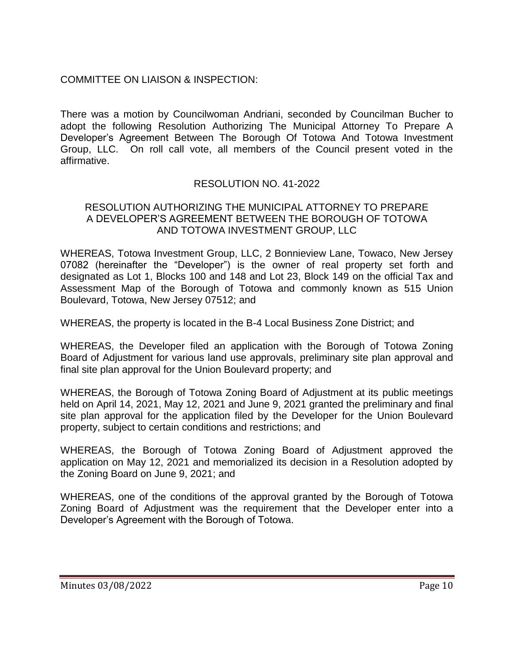# COMMITTEE ON LIAISON & INSPECTION:

There was a motion by Councilwoman Andriani, seconded by Councilman Bucher to adopt the following Resolution Authorizing The Municipal Attorney To Prepare A Developer's Agreement Between The Borough Of Totowa And Totowa Investment Group, LLC. On roll call vote, all members of the Council present voted in the affirmative.

## RESOLUTION NO. 41-2022

### RESOLUTION AUTHORIZING THE MUNICIPAL ATTORNEY TO PREPARE A DEVELOPER'S AGREEMENT BETWEEN THE BOROUGH OF TOTOWA AND TOTOWA INVESTMENT GROUP, LLC

WHEREAS, Totowa Investment Group, LLC, 2 Bonnieview Lane, Towaco, New Jersey 07082 (hereinafter the "Developer") is the owner of real property set forth and designated as Lot 1, Blocks 100 and 148 and Lot 23, Block 149 on the official Tax and Assessment Map of the Borough of Totowa and commonly known as 515 Union Boulevard, Totowa, New Jersey 07512; and

WHEREAS, the property is located in the B-4 Local Business Zone District; and

WHEREAS, the Developer filed an application with the Borough of Totowa Zoning Board of Adjustment for various land use approvals, preliminary site plan approval and final site plan approval for the Union Boulevard property; and

WHEREAS, the Borough of Totowa Zoning Board of Adjustment at its public meetings held on April 14, 2021, May 12, 2021 and June 9, 2021 granted the preliminary and final site plan approval for the application filed by the Developer for the Union Boulevard property, subject to certain conditions and restrictions; and

WHEREAS, the Borough of Totowa Zoning Board of Adjustment approved the application on May 12, 2021 and memorialized its decision in a Resolution adopted by the Zoning Board on June 9, 2021; and

WHEREAS, one of the conditions of the approval granted by the Borough of Totowa Zoning Board of Adjustment was the requirement that the Developer enter into a Developer's Agreement with the Borough of Totowa.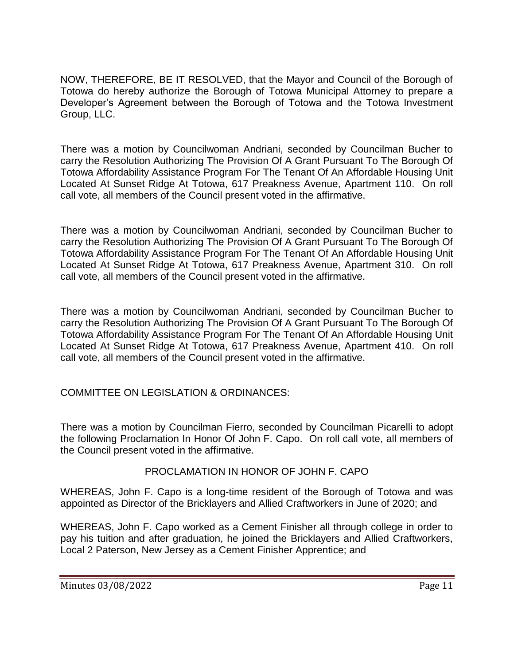NOW, THEREFORE, BE IT RESOLVED, that the Mayor and Council of the Borough of Totowa do hereby authorize the Borough of Totowa Municipal Attorney to prepare a Developer's Agreement between the Borough of Totowa and the Totowa Investment Group, LLC.

There was a motion by Councilwoman Andriani, seconded by Councilman Bucher to carry the Resolution Authorizing The Provision Of A Grant Pursuant To The Borough Of Totowa Affordability Assistance Program For The Tenant Of An Affordable Housing Unit Located At Sunset Ridge At Totowa, 617 Preakness Avenue, Apartment 110. On roll call vote, all members of the Council present voted in the affirmative.

There was a motion by Councilwoman Andriani, seconded by Councilman Bucher to carry the Resolution Authorizing The Provision Of A Grant Pursuant To The Borough Of Totowa Affordability Assistance Program For The Tenant Of An Affordable Housing Unit Located At Sunset Ridge At Totowa, 617 Preakness Avenue, Apartment 310. On roll call vote, all members of the Council present voted in the affirmative.

There was a motion by Councilwoman Andriani, seconded by Councilman Bucher to carry the Resolution Authorizing The Provision Of A Grant Pursuant To The Borough Of Totowa Affordability Assistance Program For The Tenant Of An Affordable Housing Unit Located At Sunset Ridge At Totowa, 617 Preakness Avenue, Apartment 410. On roll call vote, all members of the Council present voted in the affirmative.

COMMITTEE ON LEGISLATION & ORDINANCES:

There was a motion by Councilman Fierro, seconded by Councilman Picarelli to adopt the following Proclamation In Honor Of John F. Capo. On roll call vote, all members of the Council present voted in the affirmative.

## PROCLAMATION IN HONOR OF JOHN F. CAPO

WHEREAS, John F. Capo is a long-time resident of the Borough of Totowa and was appointed as Director of the Bricklayers and Allied Craftworkers in June of 2020; and

WHEREAS, John F. Capo worked as a Cement Finisher all through college in order to pay his tuition and after graduation, he joined the Bricklayers and Allied Craftworkers, Local 2 Paterson, New Jersey as a Cement Finisher Apprentice; and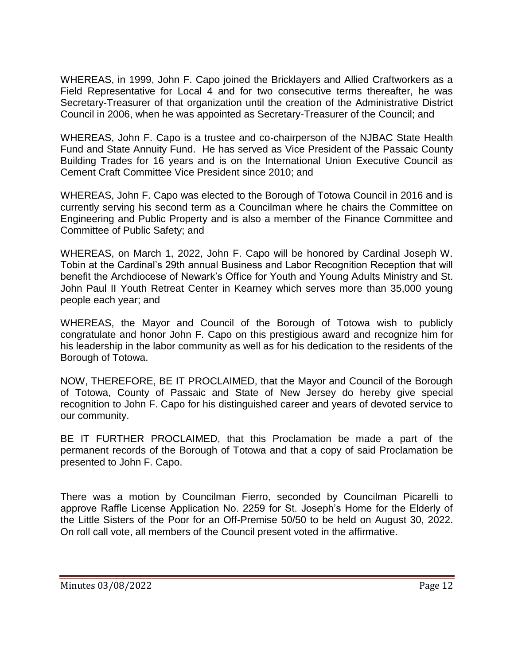WHEREAS, in 1999, John F. Capo joined the Bricklayers and Allied Craftworkers as a Field Representative for Local 4 and for two consecutive terms thereafter, he was Secretary-Treasurer of that organization until the creation of the Administrative District Council in 2006, when he was appointed as Secretary-Treasurer of the Council; and

WHEREAS, John F. Capo is a trustee and co-chairperson of the NJBAC State Health Fund and State Annuity Fund. He has served as Vice President of the Passaic County Building Trades for 16 years and is on the International Union Executive Council as Cement Craft Committee Vice President since 2010; and

WHEREAS, John F. Capo was elected to the Borough of Totowa Council in 2016 and is currently serving his second term as a Councilman where he chairs the Committee on Engineering and Public Property and is also a member of the Finance Committee and Committee of Public Safety; and

WHEREAS, on March 1, 2022, John F. Capo will be honored by Cardinal Joseph W. Tobin at the Cardinal's 29th annual Business and Labor Recognition Reception that will benefit the Archdiocese of Newark's Office for Youth and Young Adults Ministry and St. John Paul II Youth Retreat Center in Kearney which serves more than 35,000 young people each year; and

WHEREAS, the Mayor and Council of the Borough of Totowa wish to publicly congratulate and honor John F. Capo on this prestigious award and recognize him for his leadership in the labor community as well as for his dedication to the residents of the Borough of Totowa.

NOW, THEREFORE, BE IT PROCLAIMED, that the Mayor and Council of the Borough of Totowa, County of Passaic and State of New Jersey do hereby give special recognition to John F. Capo for his distinguished career and years of devoted service to our community.

BE IT FURTHER PROCLAIMED, that this Proclamation be made a part of the permanent records of the Borough of Totowa and that a copy of said Proclamation be presented to John F. Capo.

There was a motion by Councilman Fierro, seconded by Councilman Picarelli to approve Raffle License Application No. 2259 for St. Joseph's Home for the Elderly of the Little Sisters of the Poor for an Off-Premise 50/50 to be held on August 30, 2022. On roll call vote, all members of the Council present voted in the affirmative.